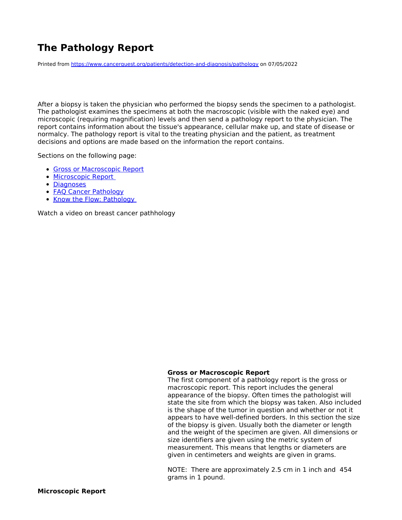# <span id="page-0-0"></span>**The Pathology Report**

Printed from <https://www.cancerquest.org/patients/detection-and-diagnosis/pathology> on 07/05/2022

After a biopsy is taken the physician who performed the biopsy sends the specimen to a pathologist. The pathologist examines the specimens at both the macroscopic (visible with the naked eye) and microscopic (requiring magnification) levels and then send a pathology report to the physician. The report contains information about the tissue's appearance, cellular make up, and state of disease or normalcy. The pathology report is vital to the treating physician and the patient, as treatment decisions and options are made based on the information the report contains.

Sections on the following page:

- Gross or [Macroscopic](#page-0-0) Report
- **[Microscopic](#page-0-0) Report**
- [Diagnoses](#page-0-0)
- **FAQ Cancer [Pathology](#page-0-0)**
- Know the Flow: [Pathology](#page-0-0)

Watch a video on breast cancer pathhology

#### **Gross or Macroscopic Report**

The first component of a pathology report is the gross or macroscopic report. This report includes the general appearance of the biopsy. Often times the pathologist will state the site from which the biopsy was taken. Also included is the shape of the tumor in question and whether or not it appears to have well-defined borders. In this section the size of the biopsy is given. Usually both the diameter or length and the weight of the specimen are given. All dimensions or size identifiers are given using the metric system of measurement. This means that lengths or diameters are given in centimeters and weights are given in grams.

NOTE: There are approximately 2.5 cm in 1 inch and 454 grams in 1 pound.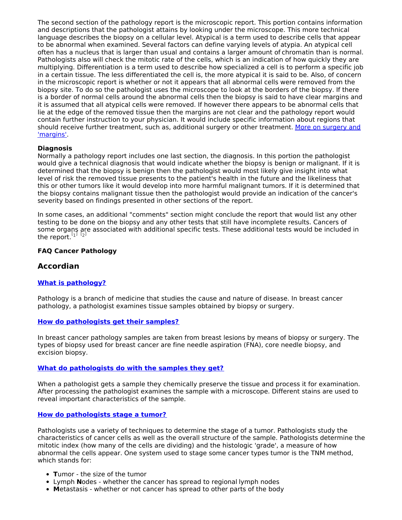The second section of the pathology report is the microscopic report. This portion contains information and descriptions that the pathologist attains by looking under the microscope. This more technical language describes the biopsy on a cellular level. Atypical is a term used to describe cells that appear to be abnormal when examined. Several factors can define varying levels of atypia. An atypical cell often has a nucleus that is larger than usual and contains a larger amount of chromatin than is normal. Pathologists also will check the mitotic rate of the cells, which is an indication of how quickly they are multiplying. Differentiation is a term used to describe how specialized a cell is to perform a specific job in a certain tissue. The less differentiated the cell is, the more atypical it is said to be. Also, of concern in the microscopic report is whether or not it appears that all abnormal cells were removed from the biopsy site. To do so the pathologist uses the microscope to look at the borders of the biopsy. If there is a border of normal cells around the abnormal cells then the biopsy is said to have clear margins and it is assumed that all atypical cells were removed. If however there appears to be abnormal cells that lie at the edge of the removed tissue then the margins are not clear and the pathology report would contain further instruction to your physician. It would include specific information about regions that should receive further treatment, such as, additional surgery or other [treatment.](https://www.cancerquest.org/patients/treatments/surgery) More on surgery and 'margins'.

## **Diagnosis**

Normally a pathology report includes one last section, the diagnosis. In this portion the pathologist would give a technical diagnosis that would indicate whether the biopsy is benign or malignant. If it is determined that the biopsy is benign then the pathologist would most likely give insight into what level of risk the removed tissue presents to the patient's health in the future and the likeliness that this or other tumors like it would develop into more harmful malignant tumors. If it is determined that the biopsy contains malignant tissue then the pathologist would provide an indication of the cancer's severity based on findings presented in other sections of the report.

In some cases, an additional "comments" section might conclude the report that would list any other testing to be done on the biopsy and any other tests that still have incomplete results. Cancers of some organs are associated with additional specific tests. These additional tests would be included in the report.  $\begin{bmatrix} 1 \end{bmatrix}$  $\begin{bmatrix} 1 \end{bmatrix}$  $\begin{bmatrix} 1 \end{bmatrix}$   $\begin{bmatrix} 2 \end{bmatrix}$  $\begin{bmatrix} 2 \end{bmatrix}$  $\begin{bmatrix} 2 \end{bmatrix}$ 

## <span id="page-1-5"></span><span id="page-1-4"></span>**FAQ Cancer Pathology**

## **Accordian**

#### **What is [pathology?](#page-1-0)**

<span id="page-1-0"></span>Pathology is a branch of medicine that studies the cause and nature of disease. In breast cancer pathology, a pathologist examines tissue samples obtained by biopsy or surgery.

#### **How do [pathologists](#page-1-1) get their samples?**

<span id="page-1-1"></span>In breast cancer pathology samples are taken from breast lesions by means of biopsy or surgery. The types of biopsy used for breast cancer are fine needle aspiration (FNA), core needle biopsy, and excision biopsy.

#### **What do [pathologists](#page-1-2) do with the samples they get?**

<span id="page-1-2"></span>When a pathologist gets a sample they chemically preserve the tissue and process it for examination. After processing the pathologist examines the sample with a microscope. Different stains are used to reveal important characteristics of the sample.

#### **How do [pathologists](#page-1-3) stage a tumor?**

<span id="page-1-3"></span>Pathologists use a variety of techniques to determine the stage of a tumor. Pathologists study the characteristics of cancer cells as well as the overall structure of the sample. Pathologists determine the mitotic index (how many of the cells are dividing) and the histologic 'grade', a measure of how abnormal the cells appear. One system used to stage some cancer types tumor is the TNM method, which stands for:

- **T**umor the size of the tumor
- Lymph **N**odes whether the cancer has spread to regional lymph nodes
- **M**etastasis whether or not cancer has spread to other parts of the body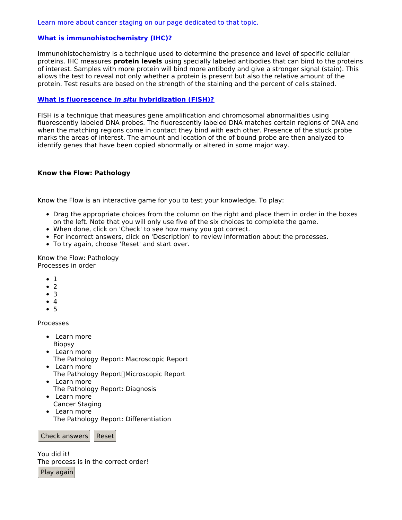## **What is [immunohistochemistry](#page-2-0) (IHC)?**

<span id="page-2-0"></span>Immunohistochemistry is a technique used to determine the presence and level of specific cellular proteins. IHC measures **protein levels** using specially labeled antibodies that can bind to the proteins of interest. Samples with more protein will bind more antibody and give a stronger signal (stain). This allows the test to reveal not only whether a protein is present but also the relative amount of the protein. Test results are based on the strength of the staining and the percent of cells stained.

## **What is fluorescence in situ [hybridization](#page-2-1) (FISH)?**

<span id="page-2-1"></span>FISH is a technique that measures gene amplification and chromosomal abnormalities using fluorescently labeled DNA probes. The fluorescently labeled DNA matches certain regions of DNA and when the matching regions come in contact they bind with each other. Presence of the stuck probe marks the areas of interest. The amount and location of the of bound probe are then analyzed to identify genes that have been copied abnormally or altered in some major way.

## **Know the Flow: Pathology**

Know the Flow is an interactive game for you to test your knowledge. To play:

- Drag the appropriate choices from the column on the right and place them in order in the boxes on the left. Note that you will only use five of the six choices to complete the game.
- When done, click on 'Check' to see how many you got correct.
- For incorrect answers, click on 'Description' to review information about the processes.
- To try again, choose 'Reset' and start over.

Know the Flow: Pathology Processes in order

- $\bullet$  1
- $\bullet$  2
- $\bullet$  3
- $\bullet$  4
- $5$

Processes

- Learn more Biopsy
- Learn more
- The Pathology Report: Macroscopic Report • Learn more
	- The Pathology Report∏Microscopic Report
- Learn more The Pathology Report: Diagnosis
- Learn more Cancer Staging
- Learn more The Pathology Report: Differentiation

Check answers Reset

You did it! The process is in the correct order!

Play again